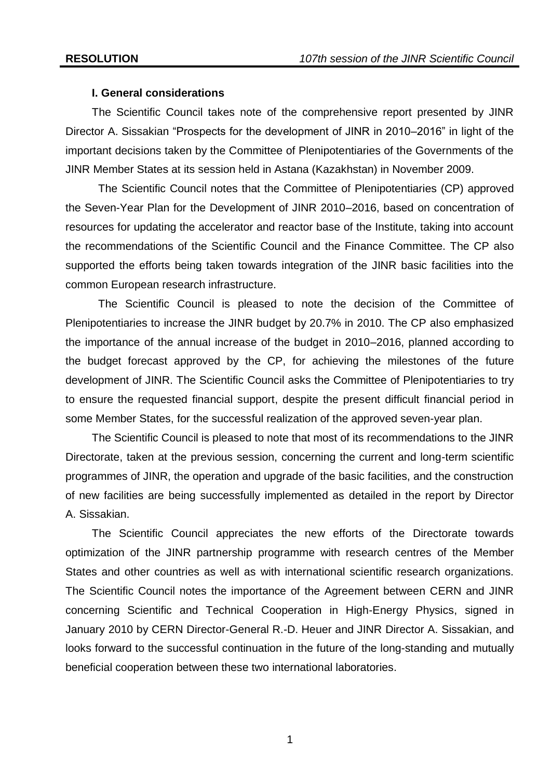### **I. General considerations**

The Scientific Council takes note of the comprehensive report presented by JINR Director A. Sissakian "Prospects for the development of JINR in 2010–2016" in light of the important decisions taken by the Committee of Plenipotentiaries of the Governments of the JINR Member States at its session held in Astana (Kazakhstan) in November 2009.

The Scientific Council notes that the Committee of Plenipotentiaries (CP) approved the Seven-Year Plan for the Development of JINR 2010–2016, based on concentration of resources for updating the accelerator and reactor base of the Institute, taking into account the recommendations of the Scientific Council and the Finance Committee. The CP also supported the efforts being taken towards integration of the JINR basic facilities into the common European research infrastructure.

The Scientific Council is pleased to note the decision of the Committee of Plenipotentiaries to increase the JINR budget by 20.7% in 2010. The CP also emphasized the importance of the annual increase of the budget in 2010–2016, planned according to the budget forecast approved by the CP, for achieving the milestones of the future development of JINR. The Scientific Council asks the Committee of Plenipotentiaries to try to ensure the requested financial support, despite the present difficult financial period in some Member States, for the successful realization of the approved seven-year plan.

The Scientific Council is pleased to note that most of its recommendations to the JINR Directorate, taken at the previous session, concerning the current and long-term scientific programmes of JINR, the operation and upgrade of the basic facilities, and the construction of new facilities are being successfully implemented as detailed in the report by Director A. Sissakian.

The Scientific Council appreciates the new efforts of the Directorate towards optimization of the JINR partnership programme with research centres of the Member States and other countries as well as with international scientific research organizations. The Scientific Council notes the importance of the Agreement between CERN and JINR concerning Scientific and Technical Cooperation in High-Energy Physics, signed in January 2010 by CERN Director-General R.-D. Heuer and JINR Director A. Sissakian, and looks forward to the successful continuation in the future of the long-standing and mutually beneficial cooperation between these two international laboratories.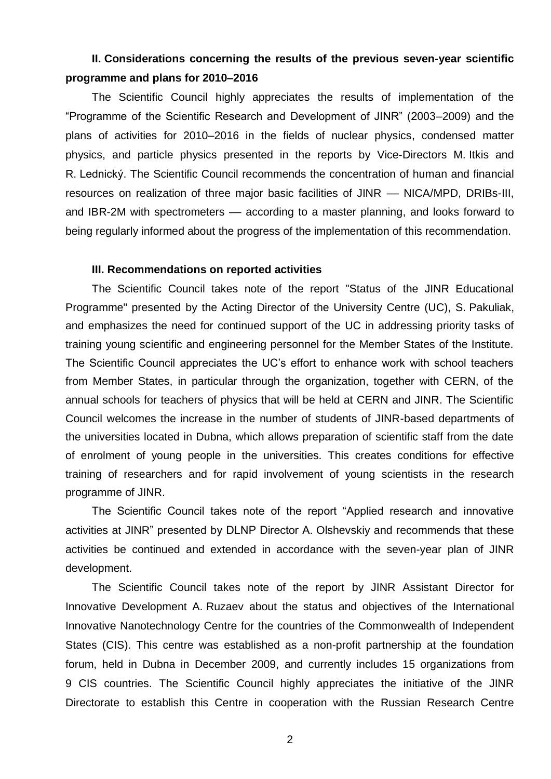# **II. Considerations concerning the results of the previous seven-year scientific programme and plans for 2010–2016**

The Scientific Council highly appreciates the results of implementation of the ―Programme of the Scientific Research and Development of JINR‖ (2003–2009) and the plans of activities for 2010–2016 in the fields of nuclear physics, condensed matter physics, and particle physics presented in the reports by Vice-Directors M. Itkis and R. Lednický. The Scientific Council recommends the concentration of human and financial resources on realization of three major basic facilities of JINR –– NICA/MPD, DRIBs-III, and IBR-2M with spectrometers — according to a master planning, and looks forward to being regularly informed about the progress of the implementation of this recommendation.

### **III. Recommendations on reported activities**

The Scientific Council takes note of the report "Status of the JINR Educational Programme" presented by the Acting Director of the University Centre (UC), S. Pakuliak, and emphasizes the need for continued support of the UC in addressing priority tasks of training young scientific and engineering personnel for the Member States of the Institute. The Scientific Council appreciates the UC's effort to enhance work with school teachers from Member States, in particular through the organization, together with CERN, of the annual schools for teachers of physics that will be held at CERN and JINR. The Scientific Council welcomes the increase in the number of students of JINR-based departments of the universities located in Dubna, which allows preparation of scientific staff from the date of enrolment of young people in the universities. This creates conditions for effective training of researchers and for rapid involvement of young scientists in the research programme of JINR.

The Scientific Council takes note of the report "Applied research and innovative activities at JINR" presented by DLNP Director A. Olshevskiy and recommends that these activities be continued and extended in accordance with the seven-year plan of JINR development.

The Scientific Council takes note of the report by JINR Assistant Director for Innovative Development A. Ruzaev about the status and objectives of the International Innovative Nanotechnology Centre for the countries of the Commonwealth of Independent States (CIS). This centre was established as a non-profit partnership at the foundation forum, held in Dubna in December 2009, and currently includes 15 organizations from 9 CIS countries. The Scientific Council highly appreciates the initiative of the JINR Directorate to establish this Centre in cooperation with the Russian Research Centre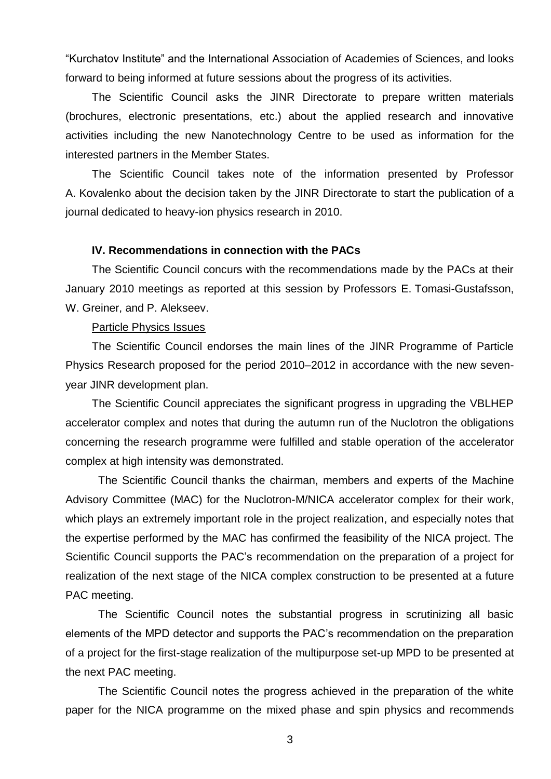―Kurchatov Institute‖ and the International Association of Academies of Sciences, and looks forward to being informed at future sessions about the progress of its activities.

The Scientific Council asks the JINR Directorate to prepare written materials (brochures, electronic presentations, etc.) about the applied research and innovative activities including the new Nanotechnology Centre to be used as information for the interested partners in the Member States.

The Scientific Council takes note of the information presented by Professor A. Kovalenko about the decision taken by the JINR Directorate to start the publication of a journal dedicated to heavy-ion physics research in 2010.

# **IV. Recommendations in connection with the PACs**

The Scientific Council concurs with the recommendations made by the PACs at their January 2010 meetings as reported at this session by Professors E. Tomasi-Gustafsson, W. Greiner, and P. Alekseev.

#### Particle Physics Issues

The Scientific Council endorses the main lines of the JINR Programme of Particle Physics Research proposed for the period 2010–2012 in accordance with the new sevenyear JINR development plan.

The Scientific Council appreciates the significant progress in upgrading the VBLHEP accelerator complex and notes that during the autumn run of the Nuclotron the obligations concerning the research programme were fulfilled and stable operation of the accelerator complex at high intensity was demonstrated.

The Scientific Council thanks the chairman, members and experts of the Machine Advisory Committee (MAC) for the Nuclotron-M/NICA accelerator complex for their work, which plays an extremely important role in the project realization, and especially notes that the expertise performed by the MAC has confirmed the feasibility of the NICA project. The Scientific Council supports the PAC's recommendation on the preparation of a project for realization of the next stage of the NICA complex construction to be presented at a future PAC meeting.

The Scientific Council notes the substantial progress in scrutinizing all basic elements of the MPD detector and supports the PAC's recommendation on the preparation of a project for the first-stage realization of the multipurpose set-up MPD to be presented at the next PAC meeting.

The Scientific Council notes the progress achieved in the preparation of the white paper for the NICA programme on the mixed phase and spin physics and recommends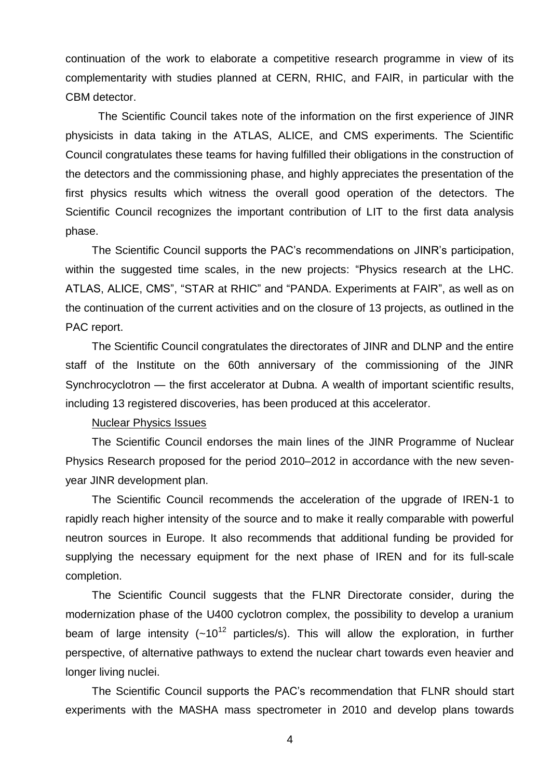continuation of the work to elaborate a competitive research programme in view of its complementarity with studies planned at CERN, RHIC, and FAIR, in particular with the CBM detector.

The Scientific Council takes note of the information on the first experience of JINR physicists in data taking in the ATLAS, ALICE, and CMS experiments. The Scientific Council congratulates these teams for having fulfilled their obligations in the construction of the detectors and the commissioning phase, and highly appreciates the presentation of the first physics results which witness the overall good operation of the detectors. The Scientific Council recognizes the important contribution of LIT to the first data analysis phase.

The Scientific Council supports the PAC's recommendations on JINR's participation, within the suggested time scales, in the new projects: "Physics research at the LHC. ATLAS, ALICE, CMS", "STAR at RHIC" and "PANDA. Experiments at FAIR", as well as on the continuation of the current activities and on the closure of 13 projects, as outlined in the PAC report.

The Scientific Council congratulates the directorates of JINR and DLNP and the entire staff of the Institute on the 60th anniversary of the commissioning of the JINR Synchrocyclotron — the first accelerator at Dubna. A wealth of important scientific results, including 13 registered discoveries, has been produced at this accelerator.

# Nuclear Physics Issues

The Scientific Council endorses the main lines of the JINR Programme of Nuclear Physics Research proposed for the period 2010–2012 in accordance with the new sevenyear JINR development plan.

The Scientific Council recommends the acceleration of the upgrade of IREN-1 to rapidly reach higher intensity of the source and to make it really comparable with powerful neutron sources in Europe. It also recommends that additional funding be provided for supplying the necessary equipment for the next phase of IREN and for its full-scale completion.

The Scientific Council suggests that the FLNR Directorate consider, during the modernization phase of the U400 cyclotron complex, the possibility to develop a uranium beam of large intensity  $(-10^{12}$  particles/s). This will allow the exploration, in further perspective, of alternative pathways to extend the nuclear chart towards even heavier and longer living nuclei.

The Scientific Council supports the PAC's recommendation that FLNR should start experiments with the MASHA mass spectrometer in 2010 and develop plans towards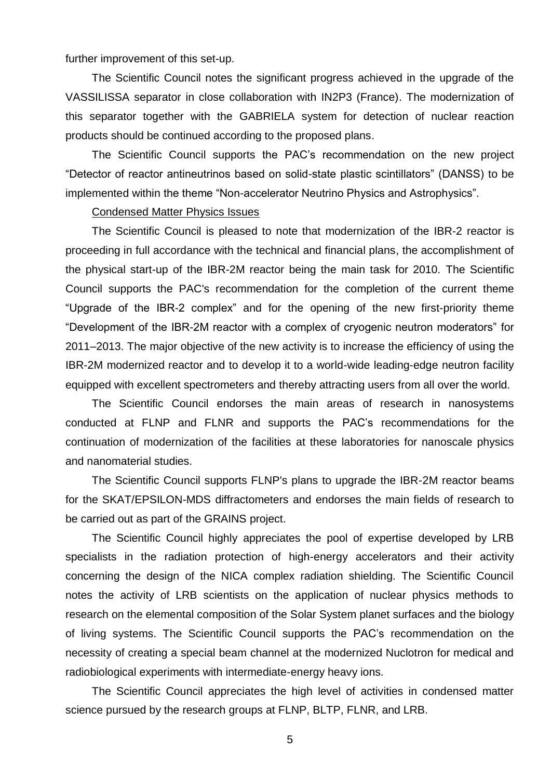further improvement of this set-up.

The Scientific Council notes the significant progress achieved in the upgrade of the VASSILISSA separator in close collaboration with IN2P3 (France). The modernization of this separator together with the GABRIELA system for detection of nuclear reaction products should be continued according to the proposed plans.

The Scientific Council supports the PAC's recommendation on the new project ―Detector of reactor antineutrinos based on solid-state plastic scintillators‖ (DANSS) to be implemented within the theme "Non-accelerator Neutrino Physics and Astrophysics".

#### Condensed Matter Physics Issues

The Scientific Council is pleased to note that modernization of the IBR-2 reactor is proceeding in full accordance with the technical and financial plans, the accomplishment of the physical start-up of the IBR-2M reactor being the main task for 2010. The Scientific Council supports the PAC's recommendation for the completion of the current theme "Upgrade of the IBR-2 complex" and for the opening of the new first-priority theme ―Development of the IBR-2M reactor with a complex of cryogenic neutron moderators‖ for 2011–2013. The major objective of the new activity is to increase the efficiency of using the IBR-2M modernized reactor and to develop it to a world-wide leading-edge neutron facility equipped with excellent spectrometers and thereby attracting users from all over the world.

The Scientific Council endorses the main areas of research in nanosystems conducted at FLNP and FLNR and supports the PAC's recommendations for the continuation of modernization of the facilities at these laboratories for nanoscale physics and nanomaterial studies.

The Scientific Council supports FLNP's plans to upgrade the IBR-2M reactor beams for the SKAT/EPSILON-MDS diffractometers and endorses the main fields of research to be carried out as part of the GRAINS project.

The Scientific Council highly appreciates the pool of expertise developed by LRB specialists in the radiation protection of high-energy accelerators and their activity concerning the design of the NICA complex radiation shielding. The Scientific Council notes the activity of LRB scientists on the application of nuclear physics methods to research on the elemental composition of the Solar System planet surfaces and the biology of living systems. The Scientific Council supports the PAC's recommendation on the necessity of creating a special beam channel at the modernized Nuclotron for medical and radiobiological experiments with intermediate-energy heavy ions.

The Scientific Council appreciates the high level of activities in condensed matter science pursued by the research groups at FLNP, BLTP, FLNR, and LRB.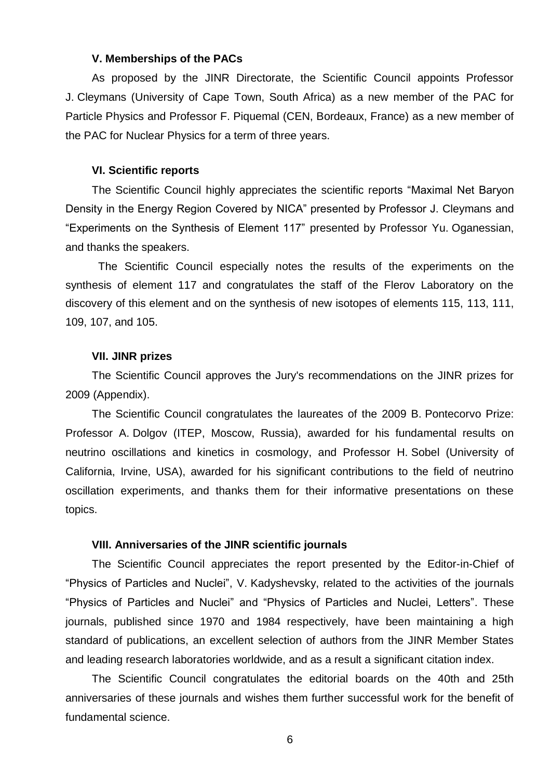### **V. Memberships of the PACs**

As proposed by the JINR Directorate, the Scientific Council appoints Professor J. Cleymans (University of Cape Town, South Africa) as a new member of the PAC for Particle Physics and Professor F. Piquemal (CEN, Bordeaux, France) as a new member of the PAC for Nuclear Physics for a term of three years.

#### **VI. Scientific reports**

The Scientific Council highly appreciates the scientific reports "Maximal Net Baryon Density in the Energy Region Covered by NICA" presented by Professor J. Cleymans and ―Experiments on the Synthesis of Element 117‖ presented by Professor Yu. Oganessian, and thanks the speakers.

The Scientific Council especially notes the results of the experiments on the synthesis of element 117 and congratulates the staff of the Flerov Laboratory on the discovery of this element and on the synthesis of new isotopes of elements 115, 113, 111, 109, 107, and 105.

#### **VII. JINR prizes**

The Scientific Council approves the Jury's recommendations on the JINR prizes for 2009 (Appendix).

The Scientific Council congratulates the laureates of the 2009 B. Pontecorvo Prize: Professor A. Dolgov (ITEP, Moscow, Russia), awarded for his fundamental results on neutrino oscillations and kinetics in cosmology, and Professor H. Sobel (University of California, Irvine, USA), awarded for his significant contributions to the field of neutrino oscillation experiments, and thanks them for their informative presentations on these topics.

#### **VIII. Anniversaries of the JINR scientific journals**

The Scientific Council appreciates the report presented by the Editor-in-Chief of "Physics of Particles and Nuclei", V. Kadyshevsky, related to the activities of the journals "Physics of Particles and Nuclei" and "Physics of Particles and Nuclei, Letters". These journals, published since 1970 and 1984 respectively, have been maintaining a high standard of publications, an excellent selection of authors from the JINR Member States and leading research laboratories worldwide, and as a result a significant citation index.

The Scientific Council congratulates the editorial boards on the 40th and 25th anniversaries of these journals and wishes them further successful work for the benefit of fundamental science.